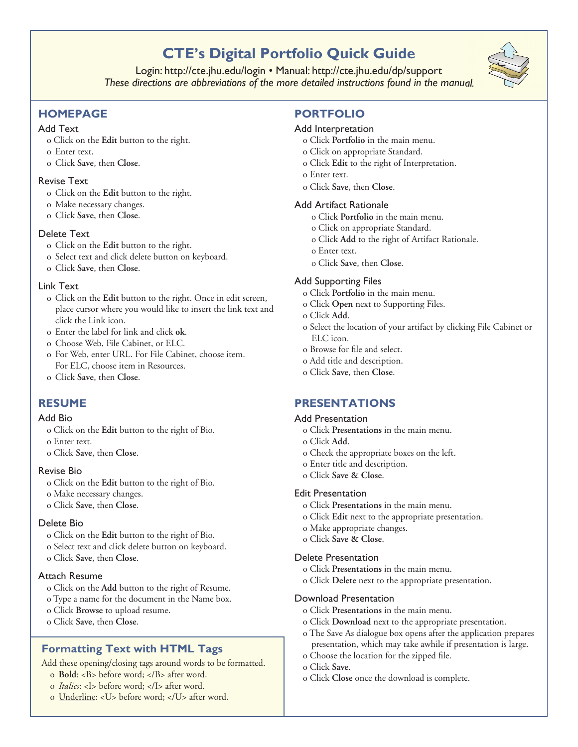# **CTE's Digital Portfolio Quick Guide**

Login: http://cte.jhu.edu/login • Manual: http://cte.jhu.edu/dp/support *These directions are abbreviations of the more detailed instructions found in the manual.* 



# **HoMePage**

## Add Text

- o Click on the **Edit** button to the right.
- o Enter text.
- o Click **Save**, then **Close**.

### Revise Text

- o Click on the **Edit** button to the right.
- o Make necessary changes.
- o Click **Save**, then **Close**.

# Delete Text

- o Click on the **Edit** button to the right.
- o Select text and click delete button on keyboard.
- o Click **Save**, then **Close**.

# Link Text

- o Click on the **Edit** button to the right. Once in edit screen, place cursor where you would like to insert the link text and click the Link icon.
- o Enter the label for link and click **ok**.
- o Choose Web, File Cabinet, or ELC.
- o For Web, enter URL. For File Cabinet, choose item. For ELC, choose item in Resources.
- o Click **Save**, then **Close**.

# **resuMe**

#### Add Bio

- o Click on the **Edit** button to the right of Bio.
- o Enter text.
- o Click **Save**, then **Close**.

#### Revise Bio

- o Click on the **Edit** button to the right of Bio.
- o Make necessary changes.
- o Click **Save**, then **Close**.

# Delete Bio

- o Click on the **Edit** button to the right of Bio.
- o Select text and click delete button on keyboard.
- o Click **Save**, then **Close**.

#### Attach Resume

- o Click on the **Add** button to the right of Resume.
- o Type a name for the document in the Name box.
- o Click **Browse** to upload resume.
- o Click **Save**, then **Close**.

# **Formatting Text with HTML Tags**

Add these opening/closing tags around words to be formatted.

- o **Bold**: <B> before word; </B> after word.
- o *Italics*: <I> before word; </I> after word.
- o Underline: <U> before word; </U> after word.

# **PortFolio**

# Add Interpretation

- o Click **Portfolio** in the main menu.
- o Click on appropriate Standard.
- o Click **Edit** to the right of Interpretation.
- o Enter text.
- o Click **Save**, then **Close**.

# Add Artifact Rationale

- o Click **Portfolio** in the main menu.
- o Click on appropriate Standard.
- o Click **Add** to the right of Artifact Rationale.
- o Enter text.
- o Click **Save**, then **Close**.

# Add Supporting Files

- o Click **Portfolio** in the main menu.
- o Click **Open** next to Supporting Files.
- o Click **Add**.
- o Select the location of your artifact by clicking File Cabinet or ELC icon.
- o Browse for file and select.
- o Add title and description.
- o Click **Save**, then **Close**.

# **Presentations**

#### Add Presentation

- o Click **Presentations** in the main menu.
- o Click **Add**.
- o Check the appropriate boxes on the left.
- o Enter title and description.
- o Click **Save & Close**.

#### Edit Presentation

- o Click **Presentations** in the main menu.
- o Click **Edit** next to the appropriate presentation.
- o Make appropriate changes.
- o Click **Save & Close**.

#### Delete Presentation

- o Click **Presentations** in the main menu.
- o Click **Delete** next to the appropriate presentation.

#### Download Presentation

- o Click **Presentations** in the main menu.
- o Click **Download** next to the appropriate presentation.
- o The Save As dialogue box opens after the application prepares presentation, which may take awhile if presentation is large.
- o Choose the location for the zipped file.
- o Click **Save**.
- o Click **Close** once the download is complete.